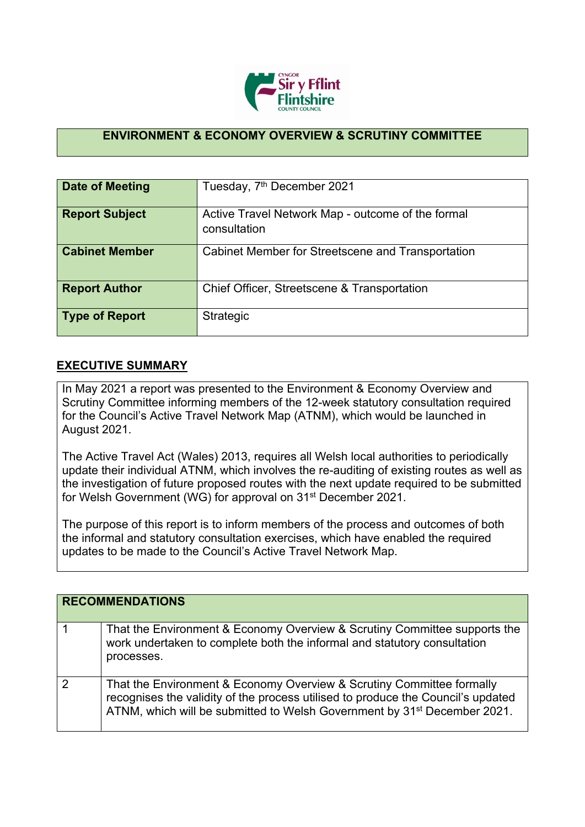

## **ENVIRONMENT & ECONOMY OVERVIEW & SCRUTINY COMMITTEE**

| Date of Meeting       | Tuesday, 7 <sup>th</sup> December 2021                            |
|-----------------------|-------------------------------------------------------------------|
| <b>Report Subject</b> | Active Travel Network Map - outcome of the formal<br>consultation |
| <b>Cabinet Member</b> | Cabinet Member for Streetscene and Transportation                 |
| <b>Report Author</b>  | Chief Officer, Streetscene & Transportation                       |
| Type of Report        | Strategic                                                         |

## **EXECUTIVE SUMMARY**

In May 2021 a report was presented to the Environment & Economy Overview and Scrutiny Committee informing members of the 12-week statutory consultation required for the Council's Active Travel Network Map (ATNM), which would be launched in August 2021.

The Active Travel Act (Wales) 2013, requires all Welsh local authorities to [periodically](https://gov.wales/sites/default/files/publications/2021-07/active-travel-act-guidance_0.pdf) update their [individual](https://gov.wales/sites/default/files/publications/2021-07/active-travel-act-guidance_0.pdf) ATNM, which involves the re-auditing of existing routes as well as the investigation of future proposed routes with the next update required to be submitted for Welsh Government (WG) for approval on 31st December 2021.

The purpose of this report is to inform members of the process and outcomes of both the informal and statutory consultation exercises, which have enabled the required updates to be made to the Council's Active Travel Network Map.

|   | <b>RECOMMENDATIONS</b>                                                                                                                                                                                                                            |
|---|---------------------------------------------------------------------------------------------------------------------------------------------------------------------------------------------------------------------------------------------------|
|   | That the Environment & Economy Overview & Scrutiny Committee supports the<br>work undertaken to complete both the informal and statutory consultation<br>processes.                                                                               |
| ႒ | That the Environment & Economy Overview & Scrutiny Committee formally<br>recognises the validity of the process utilised to produce the Council's updated<br>ATNM, which will be submitted to Welsh Government by 31 <sup>st</sup> December 2021. |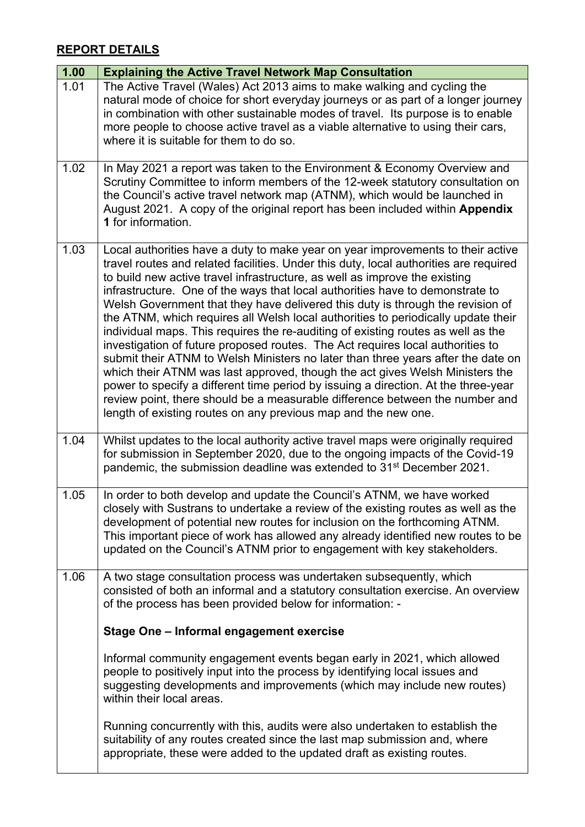## **REPORT DETAILS**

| 1.00 | <b>Explaining the Active Travel Network Map Consultation</b>                                                                                                                                                                                                                                                                                                                                                                                                                                                                                                                                                                                                                                                                                                                                                                                                                                                                                                                                                                                                                                     |
|------|--------------------------------------------------------------------------------------------------------------------------------------------------------------------------------------------------------------------------------------------------------------------------------------------------------------------------------------------------------------------------------------------------------------------------------------------------------------------------------------------------------------------------------------------------------------------------------------------------------------------------------------------------------------------------------------------------------------------------------------------------------------------------------------------------------------------------------------------------------------------------------------------------------------------------------------------------------------------------------------------------------------------------------------------------------------------------------------------------|
| 1.01 | The Active Travel (Wales) Act 2013 aims to make walking and cycling the<br>natural mode of choice for short everyday journeys or as part of a longer journey<br>in combination with other sustainable modes of travel. Its purpose is to enable<br>more people to choose active travel as a viable alternative to using their cars,<br>where it is suitable for them to do so.                                                                                                                                                                                                                                                                                                                                                                                                                                                                                                                                                                                                                                                                                                                   |
| 1.02 | In May 2021 a report was taken to the Environment & Economy Overview and<br>Scrutiny Committee to inform members of the 12-week statutory consultation on<br>the Council's active travel network map (ATNM), which would be launched in<br>August 2021. A copy of the original report has been included within Appendix<br>1 for information.                                                                                                                                                                                                                                                                                                                                                                                                                                                                                                                                                                                                                                                                                                                                                    |
| 1.03 | Local authorities have a duty to make year on year improvements to their active<br>travel routes and related facilities. Under this duty, local authorities are required<br>to build new active travel infrastructure, as well as improve the existing<br>infrastructure. One of the ways that local authorities have to demonstrate to<br>Welsh Government that they have delivered this duty is through the revision of<br>the ATNM, which requires all Welsh local authorities to periodically update their<br>individual maps. This requires the re-auditing of existing routes as well as the<br>investigation of future proposed routes. The Act requires local authorities to<br>submit their ATNM to Welsh Ministers no later than three years after the date on<br>which their ATNM was last approved, though the act gives Welsh Ministers the<br>power to specify a different time period by issuing a direction. At the three-year<br>review point, there should be a measurable difference between the number and<br>length of existing routes on any previous map and the new one. |
| 1.04 | Whilst updates to the local authority active travel maps were originally required<br>for submission in September 2020, due to the ongoing impacts of the Covid-19<br>pandemic, the submission deadline was extended to 31 <sup>st</sup> December 2021.                                                                                                                                                                                                                                                                                                                                                                                                                                                                                                                                                                                                                                                                                                                                                                                                                                           |
| 1.05 | In order to both develop and update the Council's ATNM, we have worked<br>closely with Sustrans to undertake a review of the existing routes as well as the<br>development of potential new routes for inclusion on the forthcoming ATNM.<br>This important piece of work has allowed any already identified new routes to be<br>updated on the Council's ATNM prior to engagement with key stakeholders.                                                                                                                                                                                                                                                                                                                                                                                                                                                                                                                                                                                                                                                                                        |
| 1.06 | A two stage consultation process was undertaken subsequently, which<br>consisted of both an informal and a statutory consultation exercise. An overview<br>of the process has been provided below for information: -                                                                                                                                                                                                                                                                                                                                                                                                                                                                                                                                                                                                                                                                                                                                                                                                                                                                             |
|      | Stage One - Informal engagement exercise                                                                                                                                                                                                                                                                                                                                                                                                                                                                                                                                                                                                                                                                                                                                                                                                                                                                                                                                                                                                                                                         |
|      | Informal community engagement events began early in 2021, which allowed<br>people to positively input into the process by identifying local issues and<br>suggesting developments and improvements (which may include new routes)<br>within their local areas.                                                                                                                                                                                                                                                                                                                                                                                                                                                                                                                                                                                                                                                                                                                                                                                                                                   |
|      | Running concurrently with this, audits were also undertaken to establish the<br>suitability of any routes created since the last map submission and, where<br>appropriate, these were added to the updated draft as existing routes.                                                                                                                                                                                                                                                                                                                                                                                                                                                                                                                                                                                                                                                                                                                                                                                                                                                             |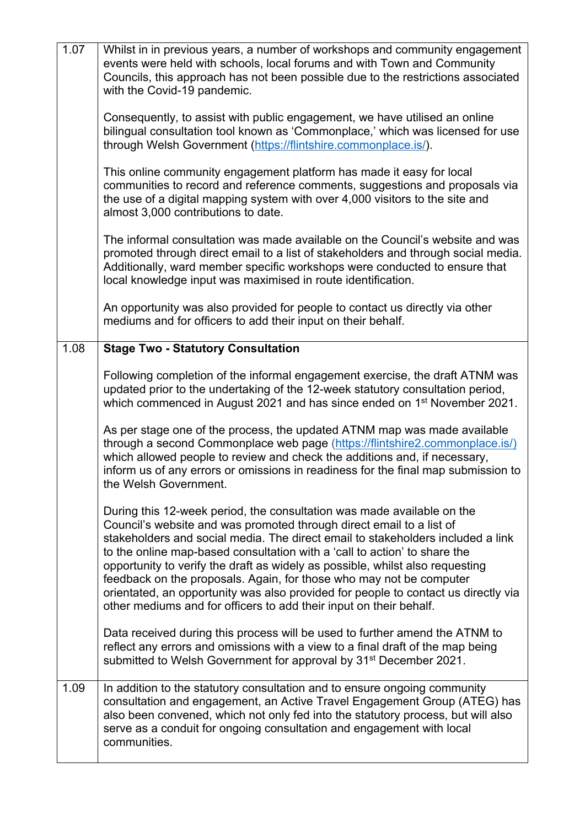| 1.07 | Whilst in in previous years, a number of workshops and community engagement<br>events were held with schools, local forums and with Town and Community<br>Councils, this approach has not been possible due to the restrictions associated<br>with the Covid-19 pandemic.                                                                                                                                                                                                                                                                                                                                                          |
|------|------------------------------------------------------------------------------------------------------------------------------------------------------------------------------------------------------------------------------------------------------------------------------------------------------------------------------------------------------------------------------------------------------------------------------------------------------------------------------------------------------------------------------------------------------------------------------------------------------------------------------------|
|      | Consequently, to assist with public engagement, we have utilised an online<br>bilingual consultation tool known as 'Commonplace,' which was licensed for use<br>through Welsh Government (https://flintshire.commonplace.is/).                                                                                                                                                                                                                                                                                                                                                                                                     |
|      | This online community engagement platform has made it easy for local<br>communities to record and reference comments, suggestions and proposals via<br>the use of a digital mapping system with over 4,000 visitors to the site and<br>almost 3,000 contributions to date.                                                                                                                                                                                                                                                                                                                                                         |
|      | The informal consultation was made available on the Council's website and was<br>promoted through direct email to a list of stakeholders and through social media.<br>Additionally, ward member specific workshops were conducted to ensure that<br>local knowledge input was maximised in route identification.                                                                                                                                                                                                                                                                                                                   |
|      | An opportunity was also provided for people to contact us directly via other<br>mediums and for officers to add their input on their behalf.                                                                                                                                                                                                                                                                                                                                                                                                                                                                                       |
| 1.08 | <b>Stage Two - Statutory Consultation</b>                                                                                                                                                                                                                                                                                                                                                                                                                                                                                                                                                                                          |
|      | Following completion of the informal engagement exercise, the draft ATNM was<br>updated prior to the undertaking of the 12-week statutory consultation period,<br>which commenced in August 2021 and has since ended on 1 <sup>st</sup> November 2021.                                                                                                                                                                                                                                                                                                                                                                             |
|      | As per stage one of the process, the updated ATNM map was made available<br>through a second Commonplace web page (https://flintshire2.commonplace.is/)<br>which allowed people to review and check the additions and, if necessary,<br>inform us of any errors or omissions in readiness for the final map submission to<br>the Welsh Government.                                                                                                                                                                                                                                                                                 |
|      | During this 12-week period, the consultation was made available on the<br>Council's website and was promoted through direct email to a list of<br>stakeholders and social media. The direct email to stakeholders included a link<br>to the online map-based consultation with a 'call to action' to share the<br>opportunity to verify the draft as widely as possible, whilst also requesting<br>feedback on the proposals. Again, for those who may not be computer<br>orientated, an opportunity was also provided for people to contact us directly via<br>other mediums and for officers to add their input on their behalf. |
|      | Data received during this process will be used to further amend the ATNM to<br>reflect any errors and omissions with a view to a final draft of the map being<br>submitted to Welsh Government for approval by 31 <sup>st</sup> December 2021.                                                                                                                                                                                                                                                                                                                                                                                     |
| 1.09 | In addition to the statutory consultation and to ensure ongoing community<br>consultation and engagement, an Active Travel Engagement Group (ATEG) has<br>also been convened, which not only fed into the statutory process, but will also<br>serve as a conduit for ongoing consultation and engagement with local<br>communities.                                                                                                                                                                                                                                                                                                |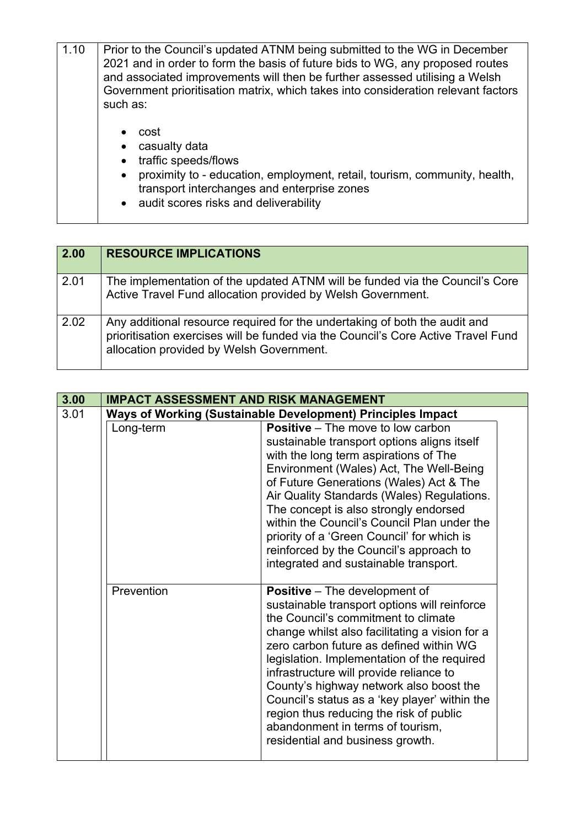| 1.10 | Prior to the Council's updated ATNM being submitted to the WG in December<br>2021 and in order to form the basis of future bids to WG, any proposed routes<br>and associated improvements will then be further assessed utilising a Welsh<br>Government prioritisation matrix, which takes into consideration relevant factors<br>such as: |  |
|------|--------------------------------------------------------------------------------------------------------------------------------------------------------------------------------------------------------------------------------------------------------------------------------------------------------------------------------------------|--|
|      | cost<br>casualty data<br>traffic speeds/flows<br>proximity to - education, employment, retail, tourism, community, health,<br>transport interchanges and enterprise zones<br>• audit scores risks and deliverability                                                                                                                       |  |

| 2.00 | <b>RESOURCE IMPLICATIONS</b>                                                                                                                                                                                |
|------|-------------------------------------------------------------------------------------------------------------------------------------------------------------------------------------------------------------|
| 2.01 | The implementation of the updated ATNM will be funded via the Council's Core<br>Active Travel Fund allocation provided by Welsh Government.                                                                 |
| 2.02 | Any additional resource required for the undertaking of both the audit and<br>prioritisation exercises will be funded via the Council's Core Active Travel Fund<br>allocation provided by Welsh Government. |

| 3.00 | <b>IMPACT ASSESSMENT AND RISK MANAGEMENT</b> |                                                                                                                                                                                                                                                                                                                                                                                                                                                                                                                                   |  |
|------|----------------------------------------------|-----------------------------------------------------------------------------------------------------------------------------------------------------------------------------------------------------------------------------------------------------------------------------------------------------------------------------------------------------------------------------------------------------------------------------------------------------------------------------------------------------------------------------------|--|
| 3.01 |                                              | Ways of Working (Sustainable Development) Principles Impact                                                                                                                                                                                                                                                                                                                                                                                                                                                                       |  |
|      | Long-term                                    | <b>Positive</b> – The move to low carbon<br>sustainable transport options aligns itself<br>with the long term aspirations of The<br>Environment (Wales) Act, The Well-Being<br>of Future Generations (Wales) Act & The<br>Air Quality Standards (Wales) Regulations.<br>The concept is also strongly endorsed<br>within the Council's Council Plan under the<br>priority of a 'Green Council' for which is<br>reinforced by the Council's approach to<br>integrated and sustainable transport.                                    |  |
|      | Prevention                                   | <b>Positive</b> – The development of<br>sustainable transport options will reinforce<br>the Council's commitment to climate<br>change whilst also facilitating a vision for a<br>zero carbon future as defined within WG<br>legislation. Implementation of the required<br>infrastructure will provide reliance to<br>County's highway network also boost the<br>Council's status as a 'key player' within the<br>region thus reducing the risk of public<br>abandonment in terms of tourism,<br>residential and business growth. |  |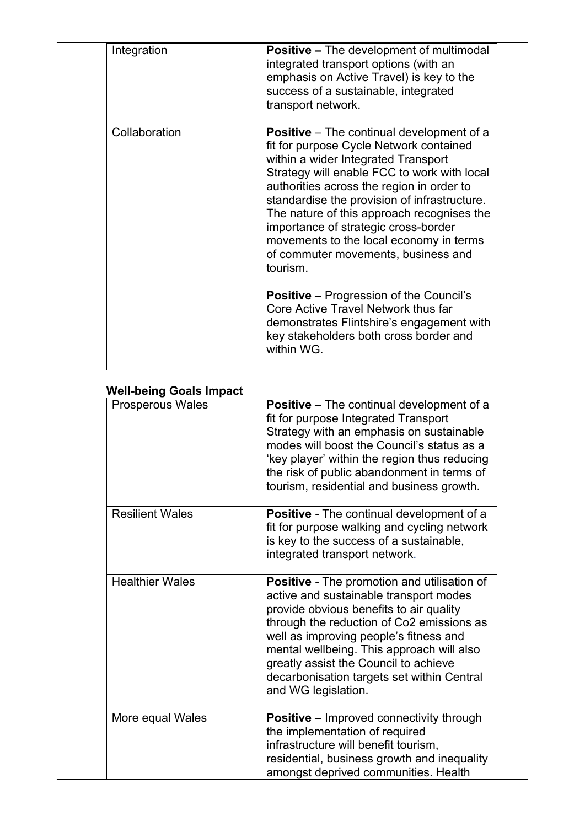| Integration                    | <b>Positive – The development of multimodal</b><br>integrated transport options (with an<br>emphasis on Active Travel) is key to the<br>success of a sustainable, integrated<br>transport network.                                                                                                                                                                                                                                                                 |
|--------------------------------|--------------------------------------------------------------------------------------------------------------------------------------------------------------------------------------------------------------------------------------------------------------------------------------------------------------------------------------------------------------------------------------------------------------------------------------------------------------------|
| Collaboration                  | <b>Positive</b> – The continual development of a<br>fit for purpose Cycle Network contained<br>within a wider Integrated Transport<br>Strategy will enable FCC to work with local<br>authorities across the region in order to<br>standardise the provision of infrastructure.<br>The nature of this approach recognises the<br>importance of strategic cross-border<br>movements to the local economy in terms<br>of commuter movements, business and<br>tourism. |
|                                | <b>Positive</b> – Progression of the Council's<br>Core Active Travel Network thus far<br>demonstrates Flintshire's engagement with<br>key stakeholders both cross border and<br>within WG.                                                                                                                                                                                                                                                                         |
| <b>Well-being Goals Impact</b> |                                                                                                                                                                                                                                                                                                                                                                                                                                                                    |
| <b>Prosperous Wales</b>        | <b>Positive</b> – The continual development of a<br>fit for purpose Integrated Transport<br>Strategy with an emphasis on sustainable<br>modes will boost the Council's status as a<br>'key player' within the region thus reducing<br>the risk of public abandonment in terms of<br>tourism, residential and business growth.                                                                                                                                      |
| <b>Resilient Wales</b>         | Positive - The continual development of a<br>fit for purpose walking and cycling network<br>is key to the success of a sustainable,<br>integrated transport network.                                                                                                                                                                                                                                                                                               |
| <b>Healthier Wales</b>         | <b>Positive - The promotion and utilisation of</b><br>active and sustainable transport modes<br>provide obvious benefits to air quality<br>through the reduction of Co2 emissions as                                                                                                                                                                                                                                                                               |
|                                | well as improving people's fitness and<br>mental wellbeing. This approach will also<br>greatly assist the Council to achieve<br>decarbonisation targets set within Central<br>and WG legislation.                                                                                                                                                                                                                                                                  |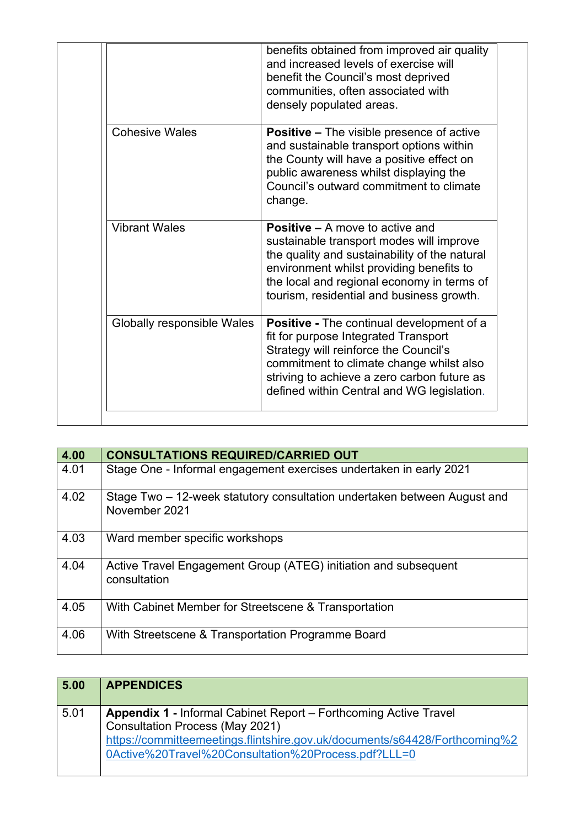|                            | benefits obtained from improved air quality<br>and increased levels of exercise will<br>benefit the Council's most deprived<br>communities, often associated with<br>densely populated areas.                                                                              |
|----------------------------|----------------------------------------------------------------------------------------------------------------------------------------------------------------------------------------------------------------------------------------------------------------------------|
| <b>Cohesive Wales</b>      | <b>Positive – The visible presence of active</b><br>and sustainable transport options within<br>the County will have a positive effect on<br>public awareness whilst displaying the<br>Council's outward commitment to climate<br>change.                                  |
| <b>Vibrant Wales</b>       | <b>Positive – A move to active and</b><br>sustainable transport modes will improve<br>the quality and sustainability of the natural<br>environment whilst providing benefits to<br>the local and regional economy in terms of<br>tourism, residential and business growth. |
| Globally responsible Wales | <b>Positive - The continual development of a</b><br>fit for purpose Integrated Transport<br>Strategy will reinforce the Council's<br>commitment to climate change whilst also<br>striving to achieve a zero carbon future as<br>defined within Central and WG legislation. |

| 4.00 | <b>CONSULTATIONS REQUIRED/CARRIED OUT</b>                                                 |
|------|-------------------------------------------------------------------------------------------|
| 4.01 | Stage One - Informal engagement exercises undertaken in early 2021                        |
| 4.02 | Stage Two – 12-week statutory consultation undertaken between August and<br>November 2021 |
| 4.03 | Ward member specific workshops                                                            |
| 4.04 | Active Travel Engagement Group (ATEG) initiation and subsequent<br>consultation           |
| 4.05 | With Cabinet Member for Streetscene & Transportation                                      |
| 4.06 | With Streetscene & Transportation Programme Board                                         |

| 5.00 | <b>APPENDICES</b>                                                                                                                                                                                                                                      |
|------|--------------------------------------------------------------------------------------------------------------------------------------------------------------------------------------------------------------------------------------------------------|
| 5.01 | <b>Appendix 1 - Informal Cabinet Report – Forthcoming Active Travel</b><br><b>Consultation Process (May 2021)</b><br>https://committeemeetings.flintshire.gov.uk/documents/s64428/Forthcoming%2<br>0Active%20Travel%20Consultation%20Process.pdf?LLL=0 |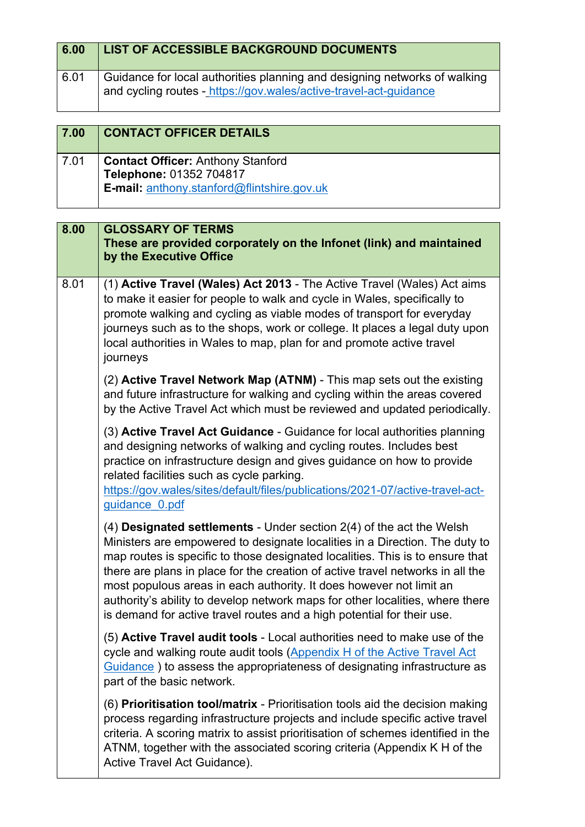| 6.00 | LIST OF ACCESSIBLE BACKGROUND DOCUMENTS                                                                                                        |
|------|------------------------------------------------------------------------------------------------------------------------------------------------|
| 6.01 | Guidance for local authorities planning and designing networks of walking<br>and cycling routes - https://gov.wales/active-travel-act-guidance |

| 7.00 | <b>CONTACT OFFICER DETAILS</b>                                                                                           |
|------|--------------------------------------------------------------------------------------------------------------------------|
| 7.01 | <b>Contact Officer: Anthony Stanford</b><br>Telephone: 01352 704817<br><b>E-mail:</b> anthony.stanford@flintshire.gov.uk |

| <b>GLOSSARY OF TERMS</b><br>These are provided corporately on the Infonet (link) and maintained<br>by the Executive Office                                                                                                                                                                                                                                                                                                                                                                                                                                   |
|--------------------------------------------------------------------------------------------------------------------------------------------------------------------------------------------------------------------------------------------------------------------------------------------------------------------------------------------------------------------------------------------------------------------------------------------------------------------------------------------------------------------------------------------------------------|
| (1) Active Travel (Wales) Act 2013 - The Active Travel (Wales) Act aims<br>to make it easier for people to walk and cycle in Wales, specifically to<br>promote walking and cycling as viable modes of transport for everyday<br>journeys such as to the shops, work or college. It places a legal duty upon<br>local authorities in Wales to map, plan for and promote active travel<br>journeys                                                                                                                                                             |
| (2) Active Travel Network Map (ATNM) - This map sets out the existing<br>and future infrastructure for walking and cycling within the areas covered<br>by the Active Travel Act which must be reviewed and updated periodically.                                                                                                                                                                                                                                                                                                                             |
| (3) Active Travel Act Guidance - Guidance for local authorities planning<br>and designing networks of walking and cycling routes. Includes best<br>practice on infrastructure design and gives guidance on how to provide<br>related facilities such as cycle parking.<br>https://gov.wales/sites/default/files/publications/2021-07/active-travel-act-<br>guidance 0.pdf                                                                                                                                                                                    |
| $(4)$ Designated settlements - Under section $2(4)$ of the act the Welsh<br>Ministers are empowered to designate localities in a Direction. The duty to<br>map routes is specific to those designated localities. This is to ensure that<br>there are plans in place for the creation of active travel networks in all the<br>most populous areas in each authority. It does however not limit an<br>authority's ability to develop network maps for other localities, where there<br>is demand for active travel routes and a high potential for their use. |
| (5) Active Travel audit tools - Local authorities need to make use of the<br>cycle and walking route audit tools (Appendix H of the Active Travel Act<br>Guidance) to assess the appropriateness of designating infrastructure as<br>part of the basic network.                                                                                                                                                                                                                                                                                              |
| (6) Prioritisation tool/matrix - Prioritisation tools aid the decision making<br>process regarding infrastructure projects and include specific active travel<br>criteria. A scoring matrix to assist prioritisation of schemes identified in the<br>ATNM, together with the associated scoring criteria (Appendix K H of the<br>Active Travel Act Guidance).                                                                                                                                                                                                |
|                                                                                                                                                                                                                                                                                                                                                                                                                                                                                                                                                              |